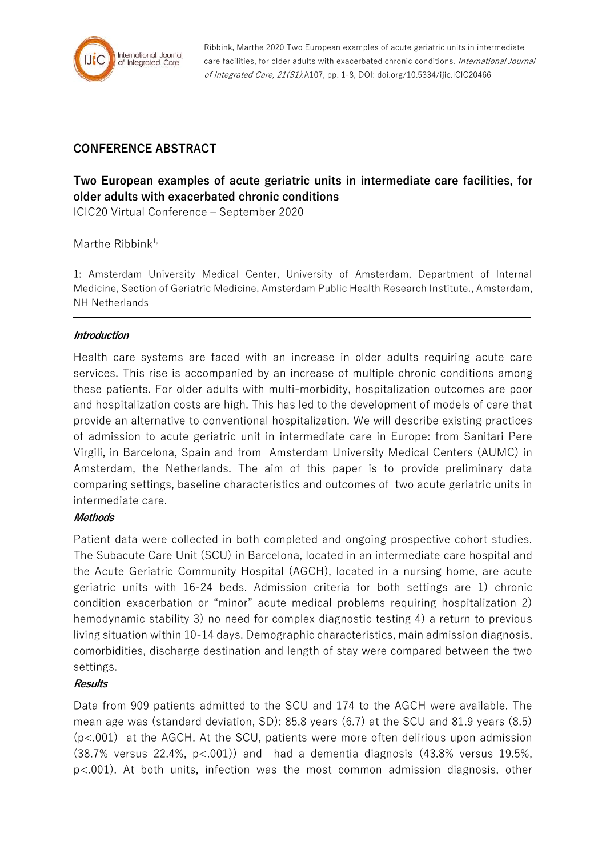

Ribbink, Marthe 2020 Two European examples of acute geriatric units in intermediate care facilities, for older adults with exacerbated chronic conditions. International Journal of Integrated Care, 21(S1):A107, pp. 1-8, DOI: doi.org/10.5334/ijic.ICIC20466

## **CONFERENCE ABSTRACT**

# **Two European examples of acute geriatric units in intermediate care facilities, for older adults with exacerbated chronic conditions**

ICIC20 Virtual Conference – September 2020

Marthe Ribbin $k^{1}$ ,

1: Amsterdam University Medical Center, University of Amsterdam, Department of Internal Medicine, Section of Geriatric Medicine, Amsterdam Public Health Research Institute., Amsterdam, NH Netherlands

#### **Introduction**

Health care systems are faced with an increase in older adults requiring acute care services. This rise is accompanied by an increase of multiple chronic conditions among these patients. For older adults with multi-morbidity, hospitalization outcomes are poor and hospitalization costs are high. This has led to the development of models of care that provide an alternative to conventional hospitalization. We will describe existing practices of admission to acute geriatric unit in intermediate care in Europe: from Sanitari Pere Virgili, in Barcelona, Spain and from Amsterdam University Medical Centers (AUMC) in Amsterdam, the Netherlands. The aim of this paper is to provide preliminary data comparing settings, baseline characteristics and outcomes of two acute geriatric units in intermediate care.

#### **Methods**

Patient data were collected in both completed and ongoing prospective cohort studies. The Subacute Care Unit (SCU) in Barcelona, located in an intermediate care hospital and the Acute Geriatric Community Hospital (AGCH), located in a nursing home, are acute geriatric units with 16-24 beds. Admission criteria for both settings are 1) chronic condition exacerbation or "minor" acute medical problems requiring hospitalization 2) hemodynamic stability 3) no need for complex diagnostic testing 4) a return to previous living situation within 10-14 days. Demographic characteristics, main admission diagnosis, comorbidities, discharge destination and length of stay were compared between the two settings.

#### **Results**

Data from 909 patients admitted to the SCU and 174 to the AGCH were available. The mean age was (standard deviation, SD): 85.8 years (6.7) at the SCU and 81.9 years (8.5) (p<.001) at the AGCH. At the SCU, patients were more often delirious upon admission  $(38.7\%$  versus 22.4%,  $p<.001$ ) and had a dementia diagnosis  $(43.8\%$  versus 19.5%, p<.001). At both units, infection was the most common admission diagnosis, other